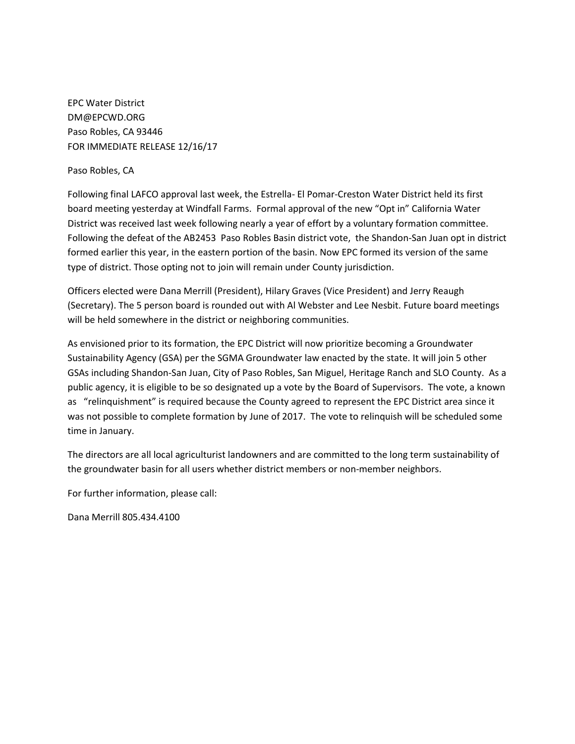EPC Water District DM@EPCWD.ORG Paso Robles, CA 93446 FOR IMMEDIATE RELEASE 12/16/17

## Paso Robles, CA

Following final LAFCO approval last week, the Estrella- El Pomar-Creston Water District held its first board meeting yesterday at Windfall Farms. Formal approval of the new "Opt in" California Water District was received last week following nearly a year of effort by a voluntary formation committee. Following the defeat of the AB2453 Paso Robles Basin district vote, the Shandon-San Juan opt in district formed earlier this year, in the eastern portion of the basin. Now EPC formed its version of the same type of district. Those opting not to join will remain under County jurisdiction.

Officers elected were Dana Merrill (President), Hilary Graves (Vice President) and Jerry Reaugh (Secretary). The 5 person board is rounded out with Al Webster and Lee Nesbit. Future board meetings will be held somewhere in the district or neighboring communities.

As envisioned prior to its formation, the EPC District will now prioritize becoming a Groundwater Sustainability Agency (GSA) per the SGMA Groundwater law enacted by the state. It will join 5 other GSAs including Shandon-San Juan, City of Paso Robles, San Miguel, Heritage Ranch and SLO County. As a public agency, it is eligible to be so designated up a vote by the Board of Supervisors. The vote, a known as "relinquishment" is required because the County agreed to represent the EPC District area since it was not possible to complete formation by June of 2017. The vote to relinquish will be scheduled some time in January.

The directors are all local agriculturist landowners and are committed to the long term sustainability of the groundwater basin for all users whether district members or non-member neighbors.

For further information, please call:

Dana Merrill 805.434.4100